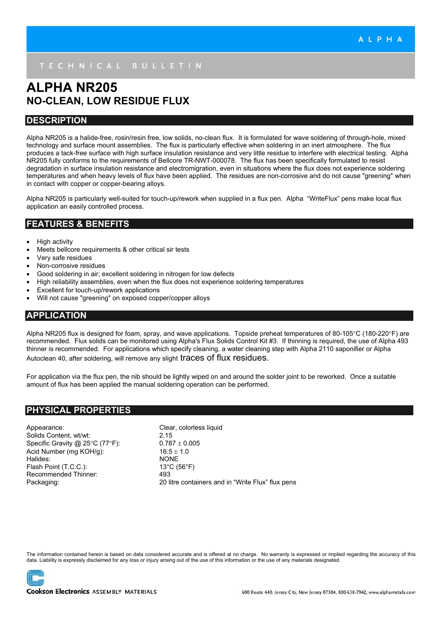# **ALPHA NR205 NO-CLEAN, LOW RESIDUE FLUX**

### **DESCRIPTION**

Alpha NR205 is a halide-free, rosin/resin free, low solids, no-clean flux. It is formulated for wave soldering of through-hole, mixed technology and surface mount assemblies. The flux is particularly effective when soldering in an inert atmosphere. The flux produces a tack-free surface with high surface insulation resistance and very little residue to interfere with electrical testing. Alpha NR205 fully conforms to the requirements of Bellcore TR-NWT-000078. The flux has been specifically formulated to resist degradation in surface insulation resistance and electromigration, even in situations where the flux does not experience soldering temperatures and when heavy levels of flux have been applied. The residues are non-corrosive and do not cause "greening" when in contact with copper or copper-bearing alloys.

Alpha NR205 is particularly well-suited for touch-up/rework when supplied in a flux pen. Alpha "WriteFlux" pens make local flux application an easily controlled process.

## **FEATURES & BENEFITS**

- High activity
- Meets bellcore requirements & other critical sir tests
- Very safe residues
- Non-corrosive residues
- Good soldering in air; excellent soldering in nitrogen for low defects
- High reliability assemblies, even when the flux does not experience soldering temperatures
- Excellent for touch-up/rework applications
- Will not cause "greening" on exposed copper/copper alloys

## **APPLICATION**

Alpha NR205 flux is designed for foam, spray, and wave applications. Topside preheat temperatures of 80-105°C (180-220°F) are recommended. Flux solids can be monitored using Alpha's Flux Solids Control Kit #3. If thinning is required, the use of Alpha 493 thinner is recommended. For applications which specify cleaning, a water cleaning step with Alpha 2110 saponifier or Alpha Autoclean 40, after soldering, will remove any slight traces of flux residues.

For application via the flux pen, the nib should be lightly wiped on and around the solder joint to be reworked. Once a suitable amount of flux has been applied the manual soldering operation can be performed.

## **PHYSICAL PROPERTIES**

Appearance: Clear, colorless liquid Solids Content, wt/wt: 2.15 Specific Gravity @ 25°C (77°F): 0.787  $\pm$  0.005 Acid Number (mg KOH/g):  $16.5 \pm 1.0$ Halides: NONE Flash Point (T.C.C.): 13°C (56°F) Recommended Thinner: 493

Packaging: 20 litre containers and in "Write Flux" flux pens

The information contained herein is based on data considered accurate and is offered at no charge. No warranty is expressed or implied regarding the accuracy of this data. Liability is expressly disclaimed for any loss or injury arising out of the use of this information or the use of any materials designated.